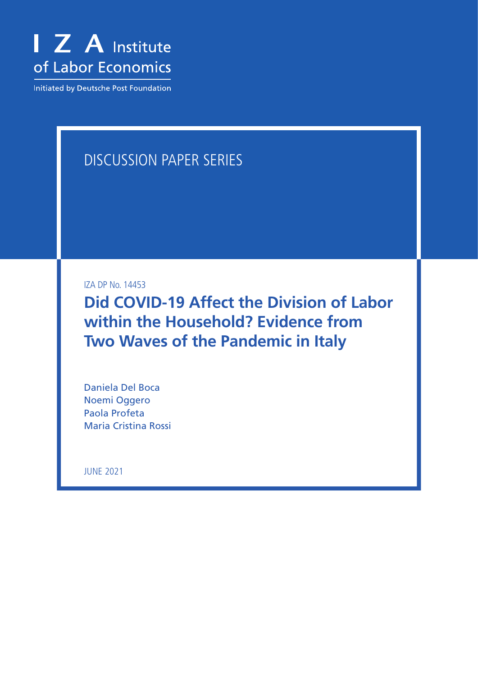

Initiated by Deutsche Post Foundation

# DISCUSSION PAPER SERIES

IZA DP No. 14453

**Did COVID-19 Affect the Division of Labor within the Household? Evidence from Two Waves of the Pandemic in Italy**

Daniela Del Boca Noemi Oggero Paola Profeta Maria Cristina Rossi

JUNE 2021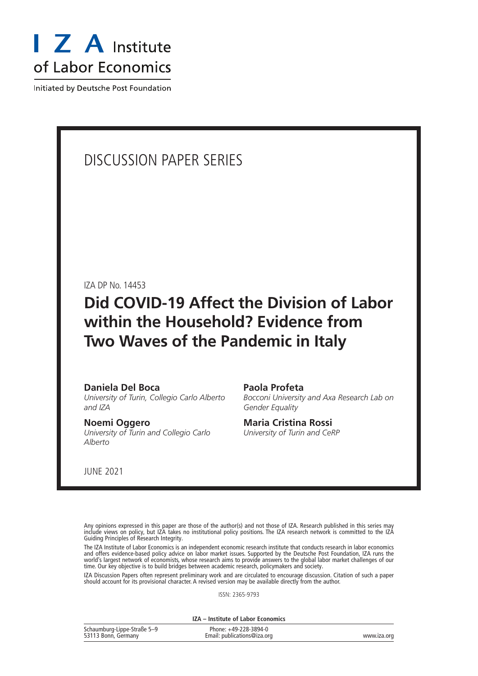

Initiated by Deutsche Post Foundation

# DISCUSSION PAPER SERIES

IZA DP No. 14453

# **Did COVID-19 Affect the Division of Labor within the Household? Evidence from Two Waves of the Pandemic in Italy**

#### **Daniela Del Boca**

*University of Turin, Collegio Carlo Alberto and IZA*

#### **Noemi Oggero**

*University of Turin and Collegio Carlo Alberto*

#### **Paola Profeta**

*Bocconi University and Axa Research Lab on Gender Equality*

### **Maria Cristina Rossi**

*University of Turin and CeRP*

JUNE 2021

Any opinions expressed in this paper are those of the author(s) and not those of IZA. Research published in this series may include views on policy, but IZA takes no institutional policy positions. The IZA research network is committed to the IZA Guiding Principles of Research Integrity.

The IZA Institute of Labor Economics is an independent economic research institute that conducts research in labor economics and offers evidence-based policy advice on labor market issues. Supported by the Deutsche Post Foundation, IZA runs the world's largest network of economists, whose research aims to provide answers to the global labor market challenges of our time. Our key objective is to build bridges between academic research, policymakers and society.

IZA Discussion Papers often represent preliminary work and are circulated to encourage discussion. Citation of such a paper should account for its provisional character. A revised version may be available directly from the author.

ISSN: 2365-9793

**IZA – Institute of Labor Economics**

| Schaumburg-Lippe-Straße 5-9 | Phone: +49-228-3894-0       |             |
|-----------------------------|-----------------------------|-------------|
| 53113 Bonn, Germany         | Email: publications@iza.org | www.iza.org |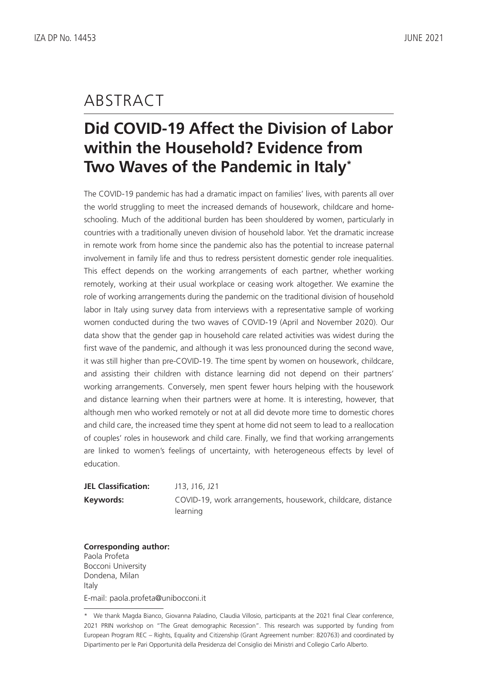# ABSTRACT

# **Did COVID-19 Affect the Division of Labor within the Household? Evidence from Two Waves of the Pandemic in Italy\***

The COVID-19 pandemic has had a dramatic impact on families' lives, with parents all over the world struggling to meet the increased demands of housework, childcare and homeschooling. Much of the additional burden has been shouldered by women, particularly in countries with a traditionally uneven division of household labor. Yet the dramatic increase in remote work from home since the pandemic also has the potential to increase paternal involvement in family life and thus to redress persistent domestic gender role inequalities. This effect depends on the working arrangements of each partner, whether working remotely, working at their usual workplace or ceasing work altogether. We examine the role of working arrangements during the pandemic on the traditional division of household labor in Italy using survey data from interviews with a representative sample of working women conducted during the two waves of COVID-19 (April and November 2020). Our data show that the gender gap in household care related activities was widest during the first wave of the pandemic, and although it was less pronounced during the second wave, it was still higher than pre-COVID-19. The time spent by women on housework, childcare, and assisting their children with distance learning did not depend on their partners' working arrangements. Conversely, men spent fewer hours helping with the housework and distance learning when their partners were at home. It is interesting, however, that although men who worked remotely or not at all did devote more time to domestic chores and child care, the increased time they spent at home did not seem to lead to a reallocation of couples' roles in housework and child care. Finally, we find that working arrangements are linked to women's feelings of uncertainty, with heterogeneous effects by level of education.

| <b>JEL Classification:</b> | J13, J16, J21                                               |
|----------------------------|-------------------------------------------------------------|
| Keywords:                  | COVID-19, work arrangements, housework, childcare, distance |
|                            | learning                                                    |

**Corresponding author:** Paola Profeta Bocconi University Dondena, Milan Italy

E-mail: paola.profeta@unibocconi.it

<sup>\*</sup> We thank Magda Bianco, Giovanna Paladino, Claudia Villosio, participants at the 2021 final Clear conference, 2021 PRIN workshop on "The Great demographic Recession". This research was supported by funding from European Program REC – Rights, Equality and Citizenship (Grant Agreement number: 820763) and coordinated by Dipartimento per le Pari Opportunità della Presidenza del Consiglio dei Ministri and Collegio Carlo Alberto.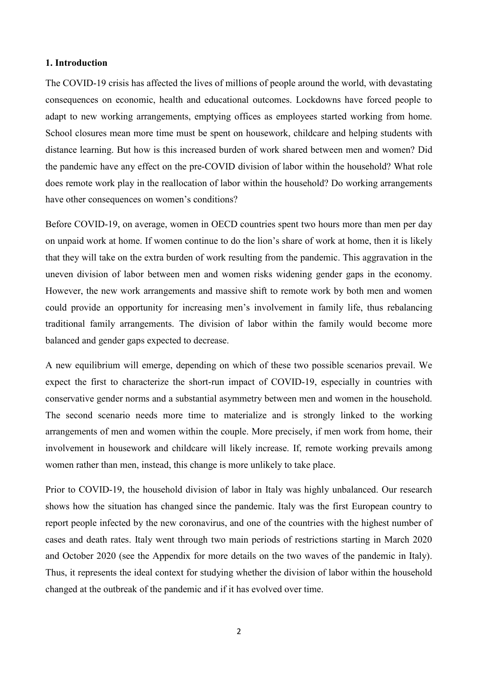#### **1. Introduction**

The COVID-19 crisis has affected the lives of millions of people around the world, with devastating consequences on economic, health and educational outcomes. Lockdowns have forced people to adapt to new working arrangements, emptying offices as employees started working from home. School closures mean more time must be spent on housework, childcare and helping students with distance learning. But how is this increased burden of work shared between men and women? Did the pandemic have any effect on the pre-COVID division of labor within the household? What role does remote work play in the reallocation of labor within the household? Do working arrangements have other consequences on women's conditions?

Before COVID-19, on average, women in OECD countries spent two hours more than men per day on unpaid work at home. If women continue to do the lion's share of work at home, then it is likely that they will take on the extra burden of work resulting from the pandemic. This aggravation in the uneven division of labor between men and women risks widening gender gaps in the economy. However, the new work arrangements and massive shift to remote work by both men and women could provide an opportunity for increasing men's involvement in family life, thus rebalancing traditional family arrangements. The division of labor within the family would become more balanced and gender gaps expected to decrease.

A new equilibrium will emerge, depending on which of these two possible scenarios prevail. We expect the first to characterize the short-run impact of COVID-19, especially in countries with conservative gender norms and a substantial asymmetry between men and women in the household. The second scenario needs more time to materialize and is strongly linked to the working arrangements of men and women within the couple. More precisely, if men work from home, their involvement in housework and childcare will likely increase. If, remote working prevails among women rather than men, instead, this change is more unlikely to take place.

Prior to COVID-19, the household division of labor in Italy was highly unbalanced. Our research shows how the situation has changed since the pandemic. Italy was the first European country to report people infected by the new coronavirus, and one of the countries with the highest number of cases and death rates. Italy went through two main periods of restrictions starting in March 2020 and October 2020 (see the Appendix for more details on the two waves of the pandemic in Italy). Thus, it represents the ideal context for studying whether the division of labor within the household changed at the outbreak of the pandemic and if it has evolved over time.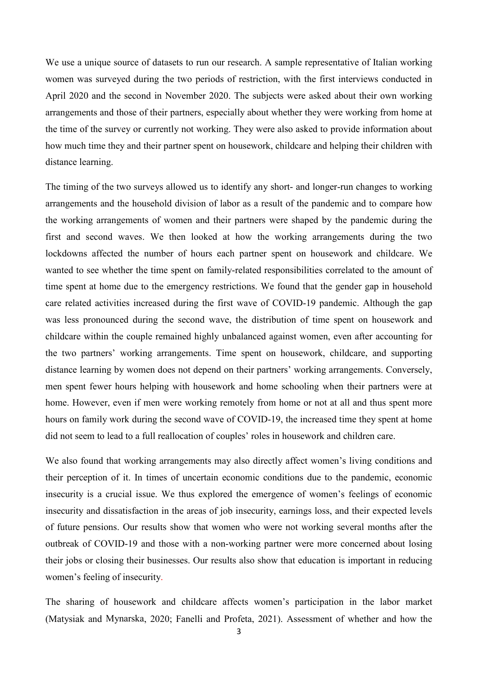We use a unique source of datasets to run our research. A sample representative of Italian working women was surveyed during the two periods of restriction, with the first interviews conducted in April 2020 and the second in November 2020. The subjects were asked about their own working arrangements and those of their partners, especially about whether they were working from home at the time of the survey or currently not working. They were also asked to provide information about how much time they and their partner spent on housework, childcare and helping their children with distance learning.

The timing of the two surveys allowed us to identify any short- and longer-run changes to working arrangements and the household division of labor as a result of the pandemic and to compare how the working arrangements of women and their partners were shaped by the pandemic during the first and second waves. We then looked at how the working arrangements during the two lockdowns affected the number of hours each partner spent on housework and childcare. We wanted to see whether the time spent on family-related responsibilities correlated to the amount of time spent at home due to the emergency restrictions. We found that the gender gap in household care related activities increased during the first wave of COVID-19 pandemic. Although the gap was less pronounced during the second wave, the distribution of time spent on housework and childcare within the couple remained highly unbalanced against women, even after accounting for the two partners' working arrangements. Time spent on housework, childcare, and supporting distance learning by women does not depend on their partners' working arrangements. Conversely, men spent fewer hours helping with housework and home schooling when their partners were at home. However, even if men were working remotely from home or not at all and thus spent more hours on family work during the second wave of COVID-19, the increased time they spent at home did not seem to lead to a full reallocation of couples' roles in housework and children care.

We also found that working arrangements may also directly affect women's living conditions and their perception of it. In times of uncertain economic conditions due to the pandemic, economic insecurity is a crucial issue. We thus explored the emergence of women's feelings of economic insecurity and dissatisfaction in the areas of job insecurity, earnings loss, and their expected levels of future pensions. Our results show that women who were not working several months after the outbreak of COVID-19 and those with a non-working partner were more concerned about losing their jobs or closing their businesses. Our results also show that education is important in reducing women's feeling of insecurity.

The sharing of housework and childcare affects women's participation in the labor market (Matysiak and Mynarska, 2020; Fanelli and Profeta, 2021). Assessment of whether and how the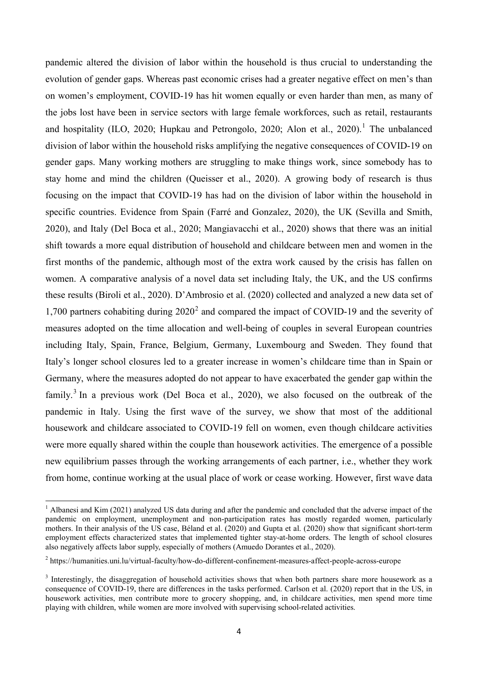pandemic altered the division of labor within the household is thus crucial to understanding the evolution of gender gaps. Whereas past economic crises had a greater negative effect on men's than on women's employment, COVID-19 has hit women equally or even harder than men, as many of the jobs lost have been in service sectors with large female workforces, such as retail, restaurants and hospitality (ILO, 2020; Hupkau and Petrongolo, 2020; Alon et al., 2020).<sup>[1](#page-5-0)</sup> The unbalanced division of labor within the household risks amplifying the negative consequences of COVID-19 on gender gaps. Many working mothers are struggling to make things work, since somebody has to stay home and mind the children (Queisser et al., 2020). A growing body of research is thus focusing on the impact that COVID-19 has had on the division of labor within the household in specific countries. Evidence from Spain (Farré and Gonzalez, 2020), the UK (Sevilla and Smith, 2020), and Italy (Del Boca et al., 2020; Mangiavacchi et al., 2020) shows that there was an initial shift towards a more equal distribution of household and childcare between men and women in the first months of the pandemic, although most of the extra work caused by the crisis has fallen on women. A comparative analysis of a novel data set including Italy, the UK, and the US confirms these results (Biroli et al., 2020). D'Ambrosio et al. (2020) collected and analyzed a new data set of 1,700 partners cohabiting during  $2020<sup>2</sup>$  $2020<sup>2</sup>$  and compared the impact of COVID-19 and the severity of measures adopted on the time allocation and well-being of couples in several European countries including Italy, Spain, France, Belgium, Germany, Luxembourg and Sweden. They found that Italy's longer school closures led to a greater increase in women's childcare time than in Spain or Germany, where the measures adopted do not appear to have exacerbated the gender gap within the family.<sup>[3](#page-5-2)</sup> In a previous work (Del Boca et al., 2020), we also focused on the outbreak of the pandemic in Italy. Using the first wave of the survey, we show that most of the additional housework and childcare associated to COVID-19 fell on women, even though childcare activities were more equally shared within the couple than housework activities. The emergence of a possible new equilibrium passes through the working arrangements of each partner, i.e., whether they work from home, continue working at the usual place of work or cease working. However, first wave data

<span id="page-5-0"></span><sup>&</sup>lt;sup>1</sup> Albanesi and Kim (2021) analyzed US data during and after the pandemic and concluded that the adverse impact of the pandemic on employment, unemployment and non-participation rates has mostly regarded women, particularly mothers. In their analysis of the US case, Béland et al. (2020) and Gupta et al. (2020) show that significant short-term employment effects characterized states that implemented tighter stay-at-home orders. The length of school closures also negatively affects labor supply, especially of mothers (Amuedo Dorantes et al., 2020).

<span id="page-5-1"></span><sup>2</sup> https://humanities.uni.lu/virtual-faculty/how-do-different-confinement-measures-affect-people-across-europe

<span id="page-5-2"></span><sup>&</sup>lt;sup>3</sup> Interestingly, the disaggregation of household activities shows that when both partners share more housework as a consequence of COVID-19, there are differences in the tasks performed. Carlson et al. (2020) report that in the US, in housework activities, men contribute more to grocery shopping, and, in childcare activities, men spend more time playing with children, while women are more involved with supervising school-related activities.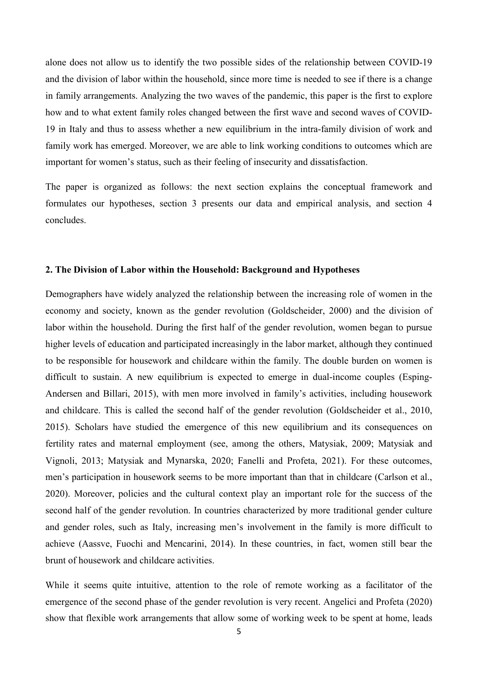alone does not allow us to identify the two possible sides of the relationship between COVID-19 and the division of labor within the household, since more time is needed to see if there is a change in family arrangements. Analyzing the two waves of the pandemic, this paper is the first to explore how and to what extent family roles changed between the first wave and second waves of COVID-19 in Italy and thus to assess whether a new equilibrium in the intra-family division of work and family work has emerged. Moreover, we are able to link working conditions to outcomes which are important for women's status, such as their feeling of insecurity and dissatisfaction.

The paper is organized as follows: the next section explains the conceptual framework and formulates our hypotheses, section 3 presents our data and empirical analysis, and section 4 concludes.

#### **2. The Division of Labor within the Household: Background and Hypotheses**

Demographers have widely analyzed the relationship between the increasing role of women in the economy and society, known as the gender revolution (Goldscheider, 2000) and the division of labor within the household. During the first half of the gender revolution, women began to pursue higher levels of education and participated increasingly in the labor market, although they continued to be responsible for housework and childcare within the family. The double burden on women is difficult to sustain. A new equilibrium is expected to emerge in dual-income couples (Esping-Andersen and Billari, 2015), with men more involved in family's activities, including housework and childcare. This is called the second half of the gender revolution (Goldscheider et al., 2010, 2015). Scholars have studied the emergence of this new equilibrium and its consequences on fertility rates and maternal employment (see, among the others, Matysiak, 2009; Matysiak and Vignoli, 2013; Matysiak and Mynarska, 2020; Fanelli and Profeta, 2021). For these outcomes, men's participation in housework seems to be more important than that in childcare (Carlson et al., 2020). Moreover, policies and the cultural context play an important role for the success of the second half of the gender revolution. In countries characterized by more traditional gender culture and gender roles, such as Italy, increasing men's involvement in the family is more difficult to achieve (Aassve, Fuochi and Mencarini, 2014). In these countries, in fact, women still bear the brunt of housework and childcare activities.

While it seems quite intuitive, attention to the role of remote working as a facilitator of the emergence of the second phase of the gender revolution is very recent. Angelici and Profeta (2020) show that flexible work arrangements that allow some of working week to be spent at home, leads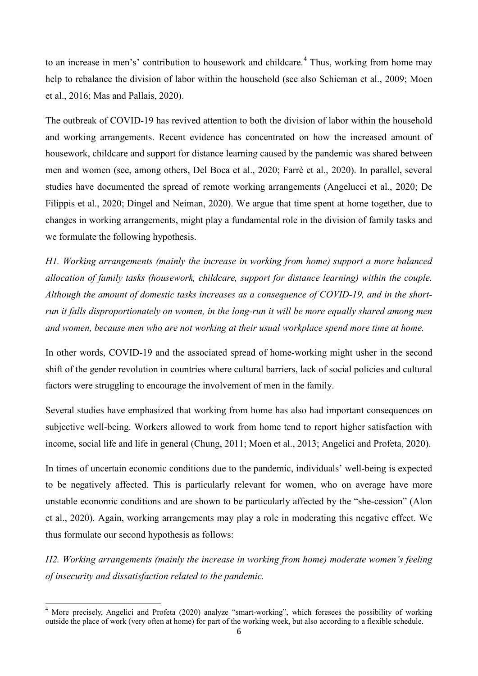to an increase in men's' contribution to housework and childcare.<sup>[4](#page-7-0)</sup> Thus, working from home may help to rebalance the division of labor within the household (see also Schieman et al., 2009; Moen et al., 2016; Mas and Pallais, 2020).

The outbreak of COVID-19 has revived attention to both the division of labor within the household and working arrangements. Recent evidence has concentrated on how the increased amount of housework, childcare and support for distance learning caused by the pandemic was shared between men and women (see, among others, Del Boca et al., 2020; Farrè et al., 2020). In parallel, several studies have documented the spread of remote working arrangements (Angelucci et al., 2020; De Filippis et al., 2020; Dingel and Neiman, 2020). We argue that time spent at home together, due to changes in working arrangements, might play a fundamental role in the division of family tasks and we formulate the following hypothesis.

*H1. Working arrangements (mainly the increase in working from home) support a more balanced allocation of family tasks (housework, childcare, support for distance learning) within the couple. Although the amount of domestic tasks increases as a consequence of COVID-19, and in the shortrun it falls disproportionately on women, in the long-run it will be more equally shared among men and women, because men who are not working at their usual workplace spend more time at home.*

In other words, COVID-19 and the associated spread of home-working might usher in the second shift of the gender revolution in countries where cultural barriers, lack of social policies and cultural factors were struggling to encourage the involvement of men in the family.

Several studies have emphasized that working from home has also had important consequences on subjective well-being. Workers allowed to work from home tend to report higher satisfaction with income, social life and life in general (Chung, 2011; Moen et al., 2013; Angelici and Profeta, 2020).

In times of uncertain economic conditions due to the pandemic, individuals' well-being is expected to be negatively affected. This is particularly relevant for women, who on average have more unstable economic conditions and are shown to be particularly affected by the "she-cession" (Alon et al., 2020). Again, working arrangements may play a role in moderating this negative effect. We thus formulate our second hypothesis as follows:

*H2. Working arrangements (mainly the increase in working from home) moderate women's feeling of insecurity and dissatisfaction related to the pandemic.* 

<span id="page-7-0"></span><sup>&</sup>lt;sup>4</sup> More precisely, Angelici and Profeta (2020) analyze "smart-working", which foresees the possibility of working outside the place of work (very often at home) for part of the working week, but also according to a flexible schedule.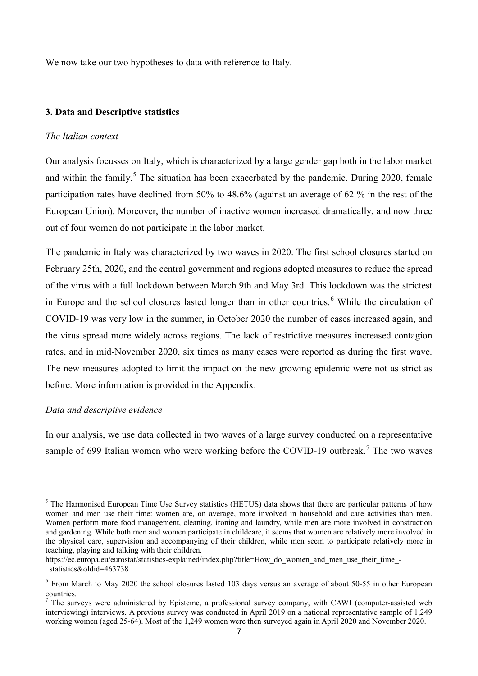We now take our two hypotheses to data with reference to Italy.

### **3. Data and Descriptive statistics**

#### *The Italian context*

Our analysis focusses on Italy, which is characterized by a large gender gap both in the labor market and within the family.<sup>[5](#page-8-0)</sup> The situation has been exacerbated by the pandemic. During 2020, female participation rates have declined from 50% to 48.6% (against an average of 62 % in the rest of the European Union). Moreover, the number of inactive women increased dramatically, and now three out of four women do not participate in the labor market.

The pandemic in Italy was characterized by two waves in 2020. The first school closures started on February 25th, 2020, and the central government and regions adopted measures to reduce the spread of the virus with a full lockdown between March 9th and May 3rd. This lockdown was the strictest in Europe and the school closures lasted longer than in other countries. [6](#page-8-1) While the circulation of COVID-19 was very low in the summer, in October 2020 the number of cases increased again, and the virus spread more widely across regions. The lack of restrictive measures increased contagion rates, and in mid-November 2020, six times as many cases were reported as during the first wave. The new measures adopted to limit the impact on the new growing epidemic were not as strict as before. More information is provided in the Appendix.

#### *Data and descriptive evidence*

In our analysis, we use data collected in two waves of a large survey conducted on a representative sample of 699 Italian women who were working before the COVID-19 outbreak.<sup>[7](#page-8-2)</sup> The two waves

<span id="page-8-0"></span><sup>&</sup>lt;sup>5</sup> The Harmonised European Time Use Survey statistics (HETUS) data shows that there are particular patterns of how women and men use their time: women are, on average, more involved in household and care activities than men. Women perform more food management, cleaning, ironing and laundry, while men are more involved in construction and gardening. While both men and women participate in childcare, it seems that women are relatively more involved in the physical care, supervision and accompanying of their children, while men seem to participate relatively more in teaching, playing and talking with their children.

https://ec.europa.eu/eurostat/statistics-explained/index.php?title=How\_do\_women\_and\_men\_use\_their\_time\_-\_statistics&oldid=463738

<span id="page-8-1"></span><sup>&</sup>lt;sup>6</sup> From March to May 2020 the school closures lasted 103 days versus an average of about 50-55 in other European countries.

<span id="page-8-2"></span> $<sup>7</sup>$  The surveys were administered by Episteme, a professional survey company, with CAWI (computer-assisted web</sup> interviewing) interviews. A previous survey was conducted in April 2019 on a national representative sample of 1,249 working women (aged 25-64). Most of the 1,249 women were then surveyed again in April 2020 and November 2020.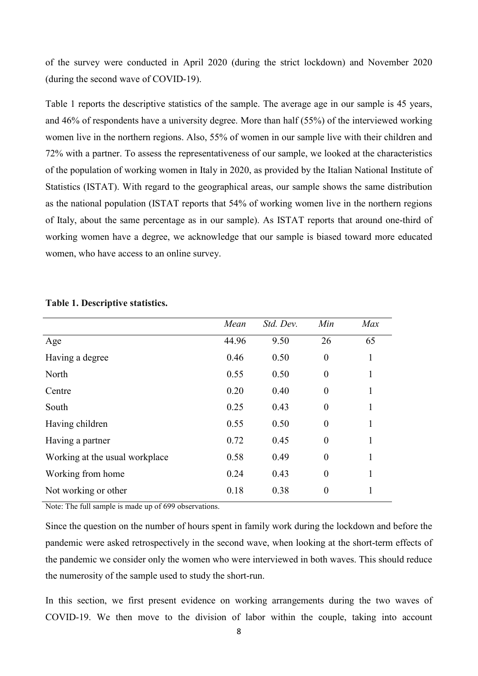of the survey were conducted in April 2020 (during the strict lockdown) and November 2020 (during the second wave of COVID-19).

Table 1 reports the descriptive statistics of the sample. The average age in our sample is 45 years, and 46% of respondents have a university degree. More than half (55%) of the interviewed working women live in the northern regions. Also, 55% of women in our sample live with their children and 72% with a partner. To assess the representativeness of our sample, we looked at the characteristics of the population of working women in Italy in 2020, as provided by the Italian National Institute of Statistics (ISTAT). With regard to the geographical areas, our sample shows the same distribution as the national population (ISTAT reports that 54% of working women live in the northern regions of Italy, about the same percentage as in our sample). As ISTAT reports that around one-third of working women have a degree, we acknowledge that our sample is biased toward more educated women, who have access to an online survey.

|                                | Mean  | Std. Dev. | Min              | Max |
|--------------------------------|-------|-----------|------------------|-----|
| Age                            | 44.96 | 9.50      | 26               | 65  |
| Having a degree                | 0.46  | 0.50      | $\boldsymbol{0}$ | 1   |
| North                          | 0.55  | 0.50      | $\boldsymbol{0}$ | 1   |
| Centre                         | 0.20  | 0.40      | $\boldsymbol{0}$ | 1   |
| South                          | 0.25  | 0.43      | $\boldsymbol{0}$ | 1   |
| Having children                | 0.55  | 0.50      | $\boldsymbol{0}$ | 1   |
| Having a partner               | 0.72  | 0.45      | $\boldsymbol{0}$ | 1   |
| Working at the usual workplace | 0.58  | 0.49      | $\boldsymbol{0}$ | 1   |
| Working from home              | 0.24  | 0.43      | $\boldsymbol{0}$ | 1   |
| Not working or other           | 0.18  | 0.38      | $\boldsymbol{0}$ | 1   |

### **Table 1. Descriptive statistics.**

Note: The full sample is made up of 699 observations.

Since the question on the number of hours spent in family work during the lockdown and before the pandemic were asked retrospectively in the second wave, when looking at the short-term effects of the pandemic we consider only the women who were interviewed in both waves. This should reduce the numerosity of the sample used to study the short-run.

In this section, we first present evidence on working arrangements during the two waves of COVID-19. We then move to the division of labor within the couple, taking into account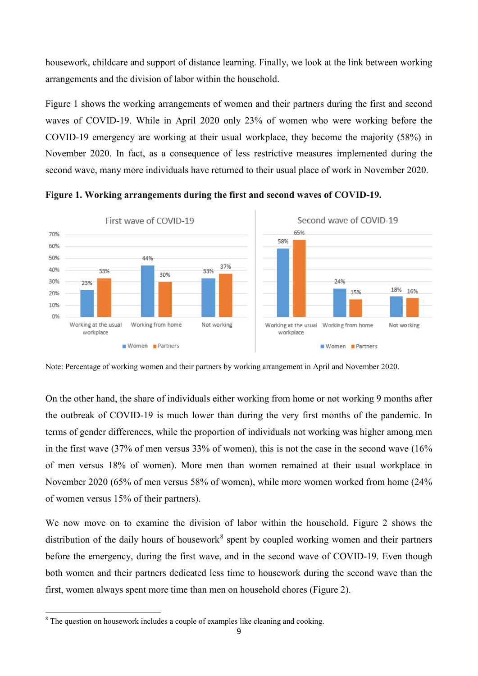housework, childcare and support of distance learning. Finally, we look at the link between working arrangements and the division of labor within the household.

Figure 1 shows the working arrangements of women and their partners during the first and second waves of COVID-19. While in April 2020 only 23% of women who were working before the COVID-19 emergency are working at their usual workplace, they become the majority (58%) in November 2020. In fact, as a consequence of less restrictive measures implemented during the second wave, many more individuals have returned to their usual place of work in November 2020.



**Figure 1. Working arrangements during the first and second waves of COVID-19.**

Note: Percentage of working women and their partners by working arrangement in April and November 2020.

On the other hand, the share of individuals either working from home or not working 9 months after the outbreak of COVID-19 is much lower than during the very first months of the pandemic. In terms of gender differences, while the proportion of individuals not working was higher among men in the first wave (37% of men versus 33% of women), this is not the case in the second wave (16% of men versus 18% of women). More men than women remained at their usual workplace in November 2020 (65% of men versus 58% of women), while more women worked from home (24% of women versus 15% of their partners).

We now move on to examine the division of labor within the household. Figure 2 shows the distribution of the daily hours of housework<sup>[8](#page-10-0)</sup> spent by coupled working women and their partners before the emergency, during the first wave, and in the second wave of COVID-19. Even though both women and their partners dedicated less time to housework during the second wave than the first, women always spent more time than men on household chores (Figure 2).

<span id="page-10-0"></span><sup>&</sup>lt;sup>8</sup> The question on housework includes a couple of examples like cleaning and cooking.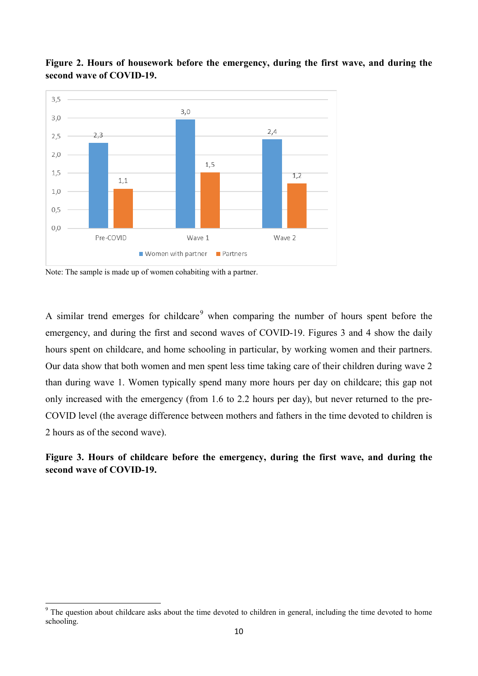

**Figure 2. Hours of housework before the emergency, during the first wave, and during the second wave of COVID-19.**

Note: The sample is made up of women cohabiting with a partner.

A similar trend emerges for childcare<sup>[9](#page-11-0)</sup> when comparing the number of hours spent before the emergency, and during the first and second waves of COVID-19. Figures 3 and 4 show the daily hours spent on childcare, and home schooling in particular, by working women and their partners. Our data show that both women and men spent less time taking care of their children during wave 2 than during wave 1. Women typically spend many more hours per day on childcare; this gap not only increased with the emergency (from 1.6 to 2.2 hours per day), but never returned to the pre-COVID level (the average difference between mothers and fathers in the time devoted to children is 2 hours as of the second wave).

## **Figure 3. Hours of childcare before the emergency, during the first wave, and during the second wave of COVID-19.**

<span id="page-11-0"></span><sup>&</sup>lt;sup>9</sup> The question about childcare asks about the time devoted to children in general, including the time devoted to home schooling.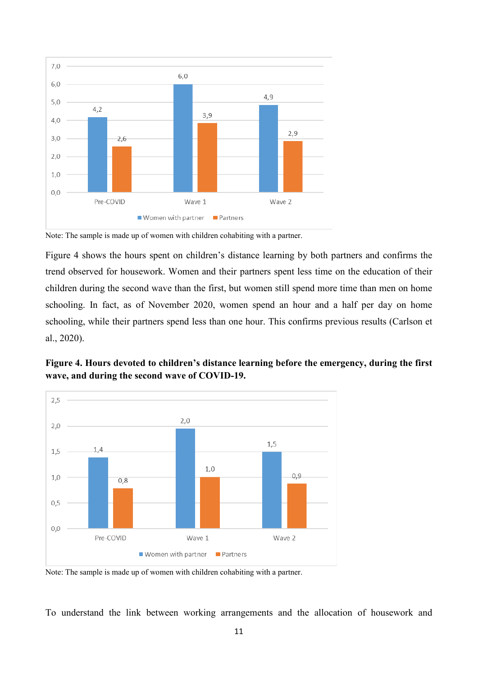

Note: The sample is made up of women with children cohabiting with a partner.

Figure 4 shows the hours spent on children's distance learning by both partners and confirms the trend observed for housework. Women and their partners spent less time on the education of their children during the second wave than the first, but women still spend more time than men on home schooling. In fact, as of November 2020, women spend an hour and a half per day on home schooling, while their partners spend less than one hour. This confirms previous results (Carlson et al., 2020).





Note: The sample is made up of women with children cohabiting with a partner.

To understand the link between working arrangements and the allocation of housework and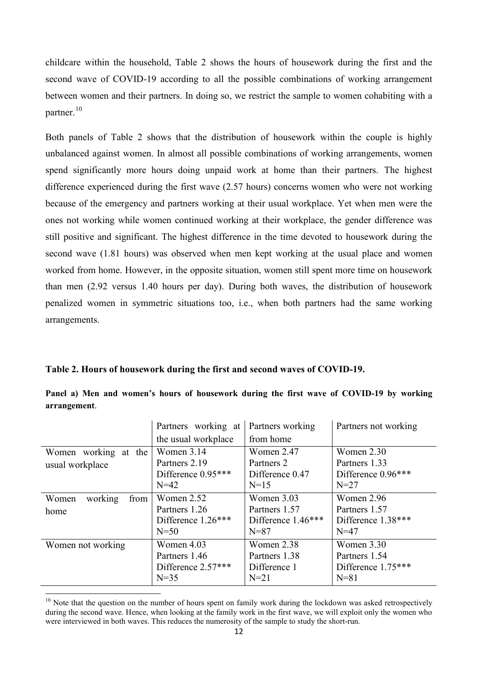childcare within the household, Table 2 shows the hours of housework during the first and the second wave of COVID-19 according to all the possible combinations of working arrangement between women and their partners. In doing so, we restrict the sample to women cohabiting with a partner.[10](#page-13-0)

Both panels of Table 2 shows that the distribution of housework within the couple is highly unbalanced against women. In almost all possible combinations of working arrangements, women spend significantly more hours doing unpaid work at home than their partners. The highest difference experienced during the first wave (2.57 hours) concerns women who were not working because of the emergency and partners working at their usual workplace. Yet when men were the ones not working while women continued working at their workplace, the gender difference was still positive and significant. The highest difference in the time devoted to housework during the second wave (1.81 hours) was observed when men kept working at the usual place and women worked from home. However, in the opposite situation, women still spent more time on housework than men (2.92 versus 1.40 hours per day). During both waves, the distribution of housework penalized women in symmetric situations too, i.e., when both partners had the same working arrangements.

**Table 2. Hours of housework during the first and second waves of COVID-19.**

|                                         | Partners working at                                         | Partners working                                              | Partners not working                                        |
|-----------------------------------------|-------------------------------------------------------------|---------------------------------------------------------------|-------------------------------------------------------------|
|                                         | the usual workplace                                         | from home                                                     |                                                             |
| Women working at the<br>usual workplace | Women 3.14<br>Partners 2.19<br>Difference 0.95***<br>$N=42$ | Women 2.47<br>Partners 2<br>Difference 0.47<br>$N=15$         | Women 2.30<br>Partners 1.33<br>Difference 0.96***<br>$N=27$ |
| working<br>from<br>Women<br>home        | Women 2.52<br>Partners 1.26<br>Difference 1.26***<br>$N=50$ | Women 3.03<br>Partners 1.57<br>Difference 1.46***<br>$N = 87$ | Women 2.96<br>Partners 1.57<br>Difference 1.38***<br>$N=47$ |
| Women not working                       | Women 4.03<br>Partners 1.46<br>Difference 2.57***<br>$N=35$ | Women 2.38<br>Partners 1.38<br>Difference 1<br>$N=21$         | Women 3.30<br>Partners 1.54<br>Difference 1.75***<br>$N=81$ |

|              |  |  | Panel a) Men and women's hours of housework during the first wave of COVID-19 by working |  |  |  |  |
|--------------|--|--|------------------------------------------------------------------------------------------|--|--|--|--|
| arrangement. |  |  |                                                                                          |  |  |  |  |

<span id="page-13-0"></span> $10$  Note that the question on the number of hours spent on family work during the lockdown was asked retrospectively during the second wave. Hence, when looking at the family work in the first wave, we will exploit only the women who were interviewed in both waves. This reduces the numerosity of the sample to study the short-run.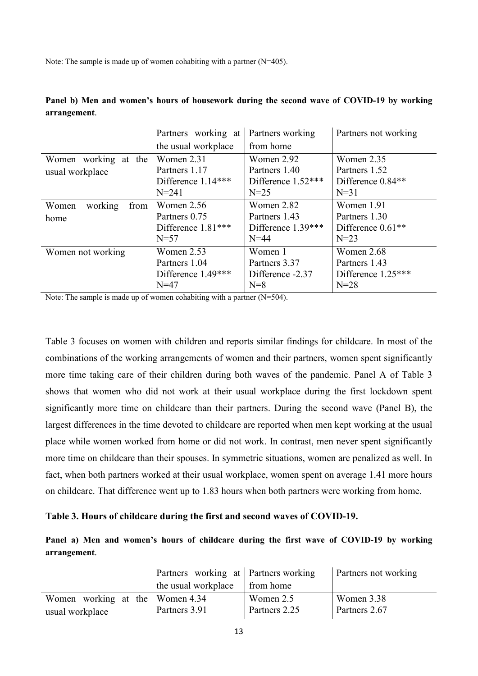Note: The sample is made up of women cohabiting with a partner (N=405).

|                          | Partners working at | Partners working   | Partners not working          |
|--------------------------|---------------------|--------------------|-------------------------------|
|                          | the usual workplace | from home          |                               |
| Women working at the     | Women 2.31          | Women 2.92         | Women 2.35                    |
| usual workplace          | Partners 1.17       | Partners 1.40      | Partners 1.52                 |
|                          | Difference 1.14***  | Difference 1.52*** | Difference 0.84**             |
|                          | $N = 241$           | $N=25$             | $N=31$                        |
| working<br>Women<br>from | Women $2.56$        | Women 2.82         | Women 1.91                    |
| home                     | Partners 0.75       | Partners 1.43      | Partners 1.30                 |
|                          | Difference 1.81***  | Difference 1.39*** | Difference 0.61 <sup>**</sup> |
|                          | $N=57$              | $N=44$             | $N=23$                        |
| Women not working        | Women 2.53          | Women 1            | Women 2.68                    |
|                          | Partners 1.04       | Partners 3.37      | Partners 1.43                 |
|                          | Difference 1.49***  | Difference -2.37   | Difference 1.25***            |
|                          | $N=47$              | $N=8$              | $N=28$                        |

**Panel b) Men and women's hours of housework during the second wave of COVID-19 by working arrangement**.

Note: The sample is made up of women cohabiting with a partner (N=504).

Table 3 focuses on women with children and reports similar findings for childcare. In most of the combinations of the working arrangements of women and their partners, women spent significantly more time taking care of their children during both waves of the pandemic. Panel A of Table 3 shows that women who did not work at their usual workplace during the first lockdown spent significantly more time on childcare than their partners. During the second wave (Panel B), the largest differences in the time devoted to childcare are reported when men kept working at the usual place while women worked from home or did not work. In contrast, men never spent significantly more time on childcare than their spouses. In symmetric situations, women are penalized as well. In fact, when both partners worked at their usual workplace, women spent on average 1.41 more hours on childcare. That difference went up to 1.83 hours when both partners were working from home.

### **Table 3. Hours of childcare during the first and second waves of COVID-19.**

**Panel a) Men and women's hours of childcare during the first wave of COVID-19 by working arrangement**.

|                                 | Partners working at Partners working |               | <b>Partners not working</b> |
|---------------------------------|--------------------------------------|---------------|-----------------------------|
|                                 | the usual workplace                  | from home     |                             |
| Women working at the Women 4.34 |                                      | Women 2.5     | Women 3.38                  |
| usual workplace                 | Partners 3.91                        | Partners 2.25 | Partners 2.67               |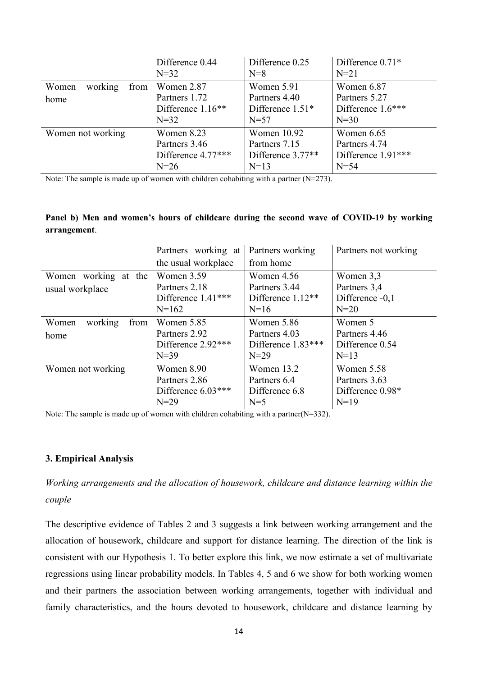|                                  | Difference 0.44             | Difference 0.25             | Difference $0.71*$          |
|----------------------------------|-----------------------------|-----------------------------|-----------------------------|
|                                  | $N = 32$                    | $N=8$                       | $N=21$                      |
| working<br>Women<br>from<br>home | Women 2.87<br>Partners 1.72 | Women 5.91<br>Partners 4.40 | Women 6.87<br>Partners 5.27 |
|                                  | Difference 1.16**           | Difference $1.51*$          | Difference $1.6***$         |
|                                  | $N=32$                      | $N=57$                      | $N=30$                      |
| Women not working                | Women 8.23                  | Women $10.92$               | Women $6.65$                |
|                                  | Partners 3.46               | Partners 7.15               | Partners 4.74               |
|                                  | Difference 4.77***          | Difference 3.77**           | Difference $1.91***$        |
|                                  | $N=26$                      | $N=13$                      | $N=54$                      |

Note: The sample is made up of women with children cohabiting with a partner (N=273).

## **Panel b) Men and women's hours of childcare during the second wave of COVID-19 by working arrangement**.

|                          | Partners working at | Partners working   | Partners not working |
|--------------------------|---------------------|--------------------|----------------------|
|                          | the usual workplace | from home          |                      |
| Women working at the     | Women 3.59          | Women $4.56$       | Women 3,3            |
| usual workplace          | Partners 2.18       | Partners 3.44      | Partners 3,4         |
|                          | Difference 1.41***  | Difference 1.12**  | Difference -0,1      |
|                          | $N=162$             | $N=16$             | $N=20$               |
| working<br>Women<br>from | Women 5.85          | Women 5.86         | Women 5              |
| home                     | Partners 2.92       | Partners 4.03      | Partners 4.46        |
|                          | Difference 2.92***  | Difference 1.83*** | Difference 0.54      |
|                          | $N = 39$            | $N=29$             | $N=13$               |
| Women not working        | Women 8.90          | Women 13.2         | Women 5.58           |
|                          | Partners 2.86       | Partners 6.4       | Partners 3.63        |
|                          | Difference 6.03***  | Difference 6.8     | Difference 0.98*     |
|                          | $N=29$              | $N=5$              | $N=19$               |

Note: The sample is made up of women with children cohabiting with a partner(N=332).

### **3. Empirical Analysis**

*Working arrangements and the allocation of housework, childcare and distance learning within the couple*

The descriptive evidence of Tables 2 and 3 suggests a link between working arrangement and the allocation of housework, childcare and support for distance learning. The direction of the link is consistent with our Hypothesis 1. To better explore this link, we now estimate a set of multivariate regressions using linear probability models. In Tables 4, 5 and 6 we show for both working women and their partners the association between working arrangements, together with individual and family characteristics, and the hours devoted to housework, childcare and distance learning by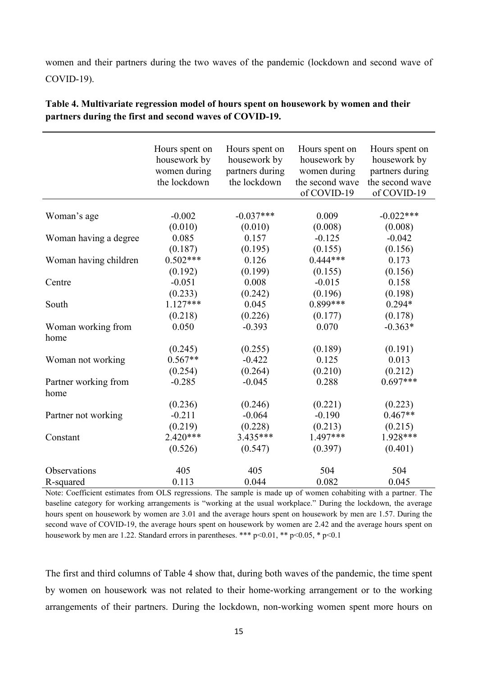women and their partners during the two waves of the pandemic (lockdown and second wave of COVID-19).

|                            | Hours spent on<br>housework by<br>women during<br>the lockdown | Hours spent on<br>housework by<br>partners during<br>the lockdown | Hours spent on<br>housework by<br>women during<br>the second wave<br>of COVID-19 | Hours spent on<br>housework by<br>partners during<br>the second wave<br>of COVID-19 |
|----------------------------|----------------------------------------------------------------|-------------------------------------------------------------------|----------------------------------------------------------------------------------|-------------------------------------------------------------------------------------|
|                            |                                                                |                                                                   |                                                                                  |                                                                                     |
| Woman's age                | $-0.002$                                                       | $-0.037***$                                                       | 0.009                                                                            | $-0.022***$                                                                         |
|                            | (0.010)                                                        | (0.010)                                                           | (0.008)                                                                          | (0.008)                                                                             |
| Woman having a degree      | 0.085                                                          | 0.157                                                             | $-0.125$                                                                         | $-0.042$                                                                            |
|                            | (0.187)                                                        | (0.195)                                                           | (0.155)                                                                          | (0.156)                                                                             |
| Woman having children      | $0.502***$                                                     | 0.126                                                             | $0.444***$                                                                       | 0.173                                                                               |
|                            | (0.192)                                                        | (0.199)                                                           | (0.155)                                                                          | (0.156)                                                                             |
| Centre                     | $-0.051$                                                       | 0.008                                                             | $-0.015$                                                                         | 0.158                                                                               |
|                            | (0.233)                                                        | (0.242)                                                           | (0.196)                                                                          | (0.198)                                                                             |
| South                      | $1.127***$                                                     | 0.045                                                             | $0.899***$                                                                       | $0.294*$                                                                            |
|                            | (0.218)                                                        | (0.226)                                                           | (0.177)                                                                          | (0.178)                                                                             |
| Woman working from<br>home | 0.050                                                          | $-0.393$                                                          | 0.070                                                                            | $-0.363*$                                                                           |
|                            | (0.245)                                                        | (0.255)                                                           | (0.189)                                                                          | (0.191)                                                                             |
| Woman not working          | $0.567**$                                                      | $-0.422$                                                          | 0.125                                                                            | 0.013                                                                               |
|                            | (0.254)                                                        | (0.264)                                                           | (0.210)                                                                          | (0.212)                                                                             |
| Partner working from       | $-0.285$                                                       | $-0.045$                                                          | 0.288                                                                            | $0.697***$                                                                          |
| home                       |                                                                |                                                                   |                                                                                  |                                                                                     |
|                            | (0.236)                                                        | (0.246)                                                           | (0.221)                                                                          | (0.223)                                                                             |
| Partner not working        | $-0.211$                                                       | $-0.064$                                                          | $-0.190$                                                                         | $0.467**$                                                                           |
|                            | (0.219)                                                        | (0.228)                                                           | (0.213)                                                                          | (0.215)                                                                             |
| Constant                   | 2.420***                                                       | 3.435***                                                          | 1.497***                                                                         | 1.928***                                                                            |
|                            | (0.526)                                                        | (0.547)                                                           | (0.397)                                                                          | (0.401)                                                                             |
|                            |                                                                |                                                                   |                                                                                  |                                                                                     |
| Observations               | 405                                                            | 405                                                               | 504                                                                              | 504                                                                                 |
| R-squared                  | 0.113                                                          | 0.044                                                             | 0.082                                                                            | 0.045                                                                               |

# **Table 4. Multivariate regression model of hours spent on housework by women and their partners during the first and second waves of COVID-19.**

Note: Coefficient estimates from OLS regressions. The sample is made up of women cohabiting with a partner. The baseline category for working arrangements is "working at the usual workplace." During the lockdown, the average hours spent on housework by women are 3.01 and the average hours spent on housework by men are 1.57. During the second wave of COVID-19, the average hours spent on housework by women are 2.42 and the average hours spent on housework by men are 1.22. Standard errors in parentheses. \*\*\*  $p<0.01$ , \*\*  $p<0.05$ , \*  $p<0.1$ 

The first and third columns of Table 4 show that, during both waves of the pandemic, the time spent by women on housework was not related to their home-working arrangement or to the working arrangements of their partners. During the lockdown, non-working women spent more hours on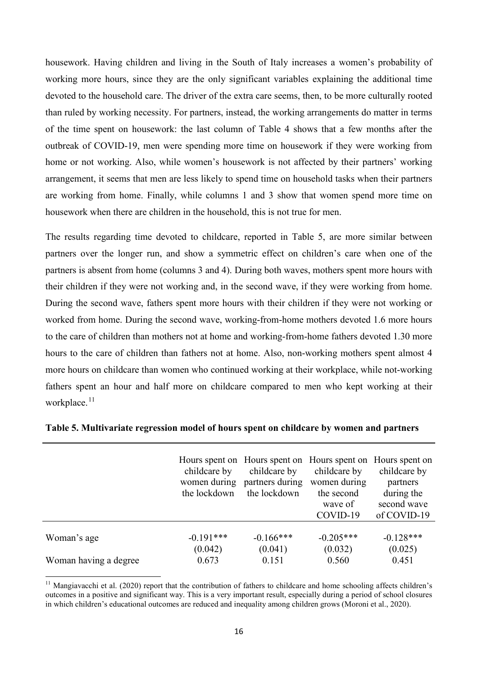housework. Having children and living in the South of Italy increases a women's probability of working more hours, since they are the only significant variables explaining the additional time devoted to the household care. The driver of the extra care seems, then, to be more culturally rooted than ruled by working necessity. For partners, instead, the working arrangements do matter in terms of the time spent on housework: the last column of Table 4 shows that a few months after the outbreak of COVID-19, men were spending more time on housework if they were working from home or not working. Also, while women's housework is not affected by their partners' working arrangement, it seems that men are less likely to spend time on household tasks when their partners are working from home. Finally, while columns 1 and 3 show that women spend more time on housework when there are children in the household, this is not true for men.

The results regarding time devoted to childcare, reported in Table 5, are more similar between partners over the longer run, and show a symmetric effect on children's care when one of the partners is absent from home (columns 3 and 4). During both waves, mothers spent more hours with their children if they were not working and, in the second wave, if they were working from home. During the second wave, fathers spent more hours with their children if they were not working or worked from home. During the second wave, working-from-home mothers devoted 1.6 more hours to the care of children than mothers not at home and working-from-home fathers devoted 1.30 more hours to the care of children than fathers not at home. Also, non-working mothers spent almost 4 more hours on childcare than women who continued working at their workplace, while not-working fathers spent an hour and half more on childcare compared to men who kept working at their workplace.<sup>[11](#page-17-0)</sup>

| childcare by<br>women during<br>the lockdown | childcare by<br>partners during<br>the lockdown | childcare by<br>women during<br>the second<br>wave of<br>COVID-19 | childcare by<br>partners<br>during the<br>second wave<br>of COVID-19            |
|----------------------------------------------|-------------------------------------------------|-------------------------------------------------------------------|---------------------------------------------------------------------------------|
| $-0.191***$                                  | $-0.166***$                                     | $-0.205***$                                                       | $-0.128***$                                                                     |
|                                              |                                                 |                                                                   | (0.025)<br>0.451                                                                |
|                                              | (0.042)<br>0.673                                | (0.041)<br>0.151                                                  | Hours spent on Hours spent on Hours spent on Hours spent on<br>(0.032)<br>0.560 |

**Table 5. Multivariate regression model of hours spent on childcare by women and partners** 

<span id="page-17-0"></span> $11$  Mangiavacchi et al. (2020) report that the contribution of fathers to childcare and home schooling affects children's outcomes in a positive and significant way. This is a very important result, especially during a period of school closures in which children's educational outcomes are reduced and inequality among children grows (Moroni et al., 2020).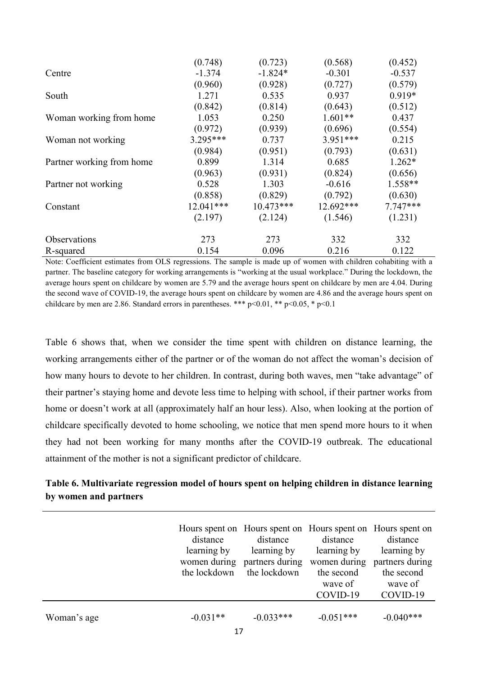|                           | (0.748)    | (0.723)     | (0.568)   | (0.452)    |
|---------------------------|------------|-------------|-----------|------------|
| Centre                    | $-1.374$   | $-1.824*$   | $-0.301$  | $-0.537$   |
|                           | (0.960)    | (0.928)     | (0.727)   | (0.579)    |
| South                     | 1.271      | 0.535       | 0.937     | 0.919*     |
|                           | (0.842)    | (0.814)     | (0.643)   | (0.512)    |
| Woman working from home   | 1.053      | 0.250       | $1.601**$ | 0.437      |
|                           | (0.972)    | (0.939)     | (0.696)   | (0.554)    |
| Woman not working         | $3.295***$ | 0.737       | 3.951 *** | 0.215      |
|                           | (0.984)    | (0.951)     | (0.793)   | (0.631)    |
| Partner working from home | 0.899      | 1.314       | 0.685     | $1.262*$   |
|                           | (0.963)    | (0.931)     | (0.824)   | (0.656)    |
| Partner not working       | 0.528      | 1.303       | $-0.616$  | 1.558**    |
|                           | (0.858)    | (0.829)     | (0.792)   | (0.630)    |
| Constant                  | 12.041***  | $10.473***$ | 12.692*** | $7.747***$ |
|                           | (2.197)    | (2.124)     | (1.546)   | (1.231)    |
| Observations              | 273        | 273         | 332       | 332        |
| R-squared                 | 0.154      | 0.096       | 0.216     | 0.122      |

Note: Coefficient estimates from OLS regressions. The sample is made up of women with children cohabiting with a partner. The baseline category for working arrangements is "working at the usual workplace." During the lockdown, the average hours spent on childcare by women are 5.79 and the average hours spent on childcare by men are 4.04. During the second wave of COVID-19, the average hours spent on childcare by women are 4.86 and the average hours spent on childcare by men are 2.86. Standard errors in parentheses. \*\*\*  $p<0.01$ , \*\*  $p<0.05$ , \*  $p<0.1$ 

Table 6 shows that, when we consider the time spent with children on distance learning, the working arrangements either of the partner or of the woman do not affect the woman's decision of how many hours to devote to her children. In contrast, during both waves, men "take advantage" of their partner's staying home and devote less time to helping with school, if their partner works from home or doesn't work at all (approximately half an hour less). Also, when looking at the portion of childcare specifically devoted to home schooling, we notice that men spend more hours to it when they had not been working for many months after the COVID-19 outbreak. The educational attainment of the mother is not a significant predictor of childcare.

# **Table 6. Multivariate regression model of hours spent on helping children in distance learning by women and partners**

|             | distance<br>learning by<br>the lockdown | Hours spent on Hours spent on Hours spent on Hours spent on<br>distance<br>learning by<br>women during partners during<br>the lockdown | distance<br>learning by<br>women during<br>the second<br>wave of<br>COVID-19 | distance<br>learning by<br>partners during<br>the second<br>wave of<br>COVID-19 |
|-------------|-----------------------------------------|----------------------------------------------------------------------------------------------------------------------------------------|------------------------------------------------------------------------------|---------------------------------------------------------------------------------|
| Woman's age | $-0.031**$                              | $-0.033***$                                                                                                                            | $-0.051***$                                                                  | $-0.040***$                                                                     |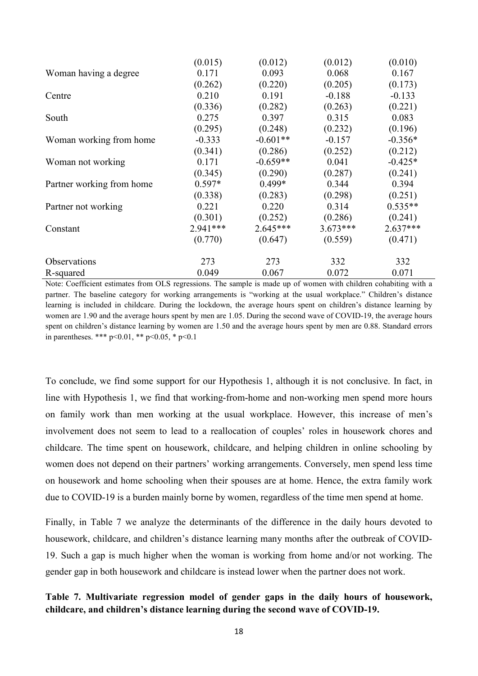|                           | (0.015)  | (0.012)    | (0.012)    | (0.010)    |
|---------------------------|----------|------------|------------|------------|
| Woman having a degree     | 0.171    | 0.093      | 0.068      | 0.167      |
|                           | (0.262)  | (0.220)    | (0.205)    | (0.173)    |
| Centre                    | 0.210    | 0.191      | $-0.188$   | $-0.133$   |
|                           | (0.336)  | (0.282)    | (0.263)    | (0.221)    |
| South                     | 0.275    | 0.397      | 0.315      | 0.083      |
|                           | (0.295)  | (0.248)    | (0.232)    | (0.196)    |
| Woman working from home   | $-0.333$ | $-0.601**$ | $-0.157$   | $-0.356*$  |
|                           | (0.341)  | (0.286)    | (0.252)    | (0.212)    |
| Woman not working         | 0.171    | $-0.659**$ | 0.041      | $-0.425*$  |
|                           | (0.345)  | (0.290)    | (0.287)    | (0.241)    |
| Partner working from home | $0.597*$ | $0.499*$   | 0.344      | 0.394      |
|                           | (0.338)  | (0.283)    | (0.298)    | (0.251)    |
| Partner not working       | 0.221    | 0.220      | 0.314      | $0.535**$  |
|                           | (0.301)  | (0.252)    | (0.286)    | (0.241)    |
| Constant                  | 2.941*** | $2.645***$ | $3.673***$ | $2.637***$ |
|                           | (0.770)  | (0.647)    | (0.559)    | (0.471)    |
| Observations              | 273      | 273        | 332        | 332        |
| R-squared                 | 0.049    | 0.067      | 0.072      | 0.071      |

Note: Coefficient estimates from OLS regressions. The sample is made up of women with children cohabiting with a partner. The baseline category for working arrangements is "working at the usual workplace." Children's distance learning is included in childcare. During the lockdown, the average hours spent on children's distance learning by women are 1.90 and the average hours spent by men are 1.05. During the second wave of COVID-19, the average hours spent on children's distance learning by women are 1.50 and the average hours spent by men are 0.88. Standard errors in parentheses. \*\*\* p<0.01, \*\* p<0.05, \* p<0.1

To conclude, we find some support for our Hypothesis 1, although it is not conclusive. In fact, in line with Hypothesis 1, we find that working-from-home and non-working men spend more hours on family work than men working at the usual workplace. However, this increase of men's involvement does not seem to lead to a reallocation of couples' roles in housework chores and childcare. The time spent on housework, childcare, and helping children in online schooling by women does not depend on their partners' working arrangements. Conversely, men spend less time on housework and home schooling when their spouses are at home. Hence, the extra family work due to COVID-19 is a burden mainly borne by women, regardless of the time men spend at home.

Finally, in Table 7 we analyze the determinants of the difference in the daily hours devoted to housework, childcare, and children's distance learning many months after the outbreak of COVID-19. Such a gap is much higher when the woman is working from home and/or not working. The gender gap in both housework and childcare is instead lower when the partner does not work.

# **Table 7. Multivariate regression model of gender gaps in the daily hours of housework, childcare, and children's distance learning during the second wave of COVID-19.**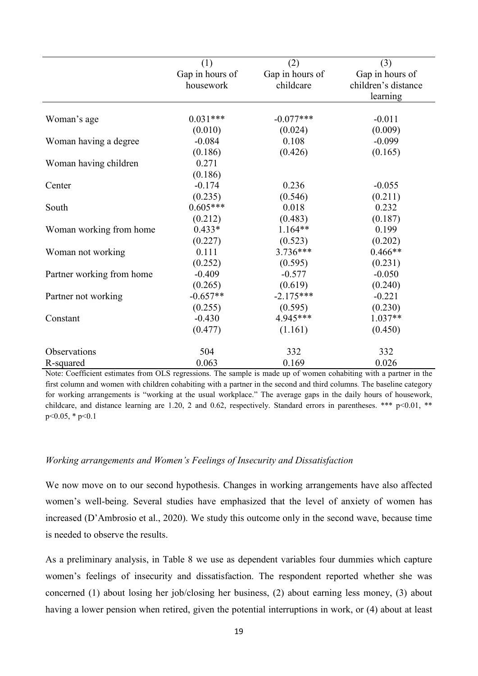|                           | (1)             | (2)             | (3)                 |
|---------------------------|-----------------|-----------------|---------------------|
|                           | Gap in hours of | Gap in hours of | Gap in hours of     |
|                           | housework       | childcare       | children's distance |
|                           |                 |                 | learning            |
|                           |                 |                 |                     |
| Woman's age               | $0.031***$      | $-0.077***$     | $-0.011$            |
|                           | (0.010)         | (0.024)         | (0.009)             |
| Woman having a degree     | $-0.084$        | 0.108           | $-0.099$            |
|                           | (0.186)         | (0.426)         | (0.165)             |
| Woman having children     | 0.271           |                 |                     |
|                           | (0.186)         |                 |                     |
| Center                    | $-0.174$        | 0.236           | $-0.055$            |
|                           | (0.235)         | (0.546)         | (0.211)             |
| South                     | $0.605***$      | 0.018           | 0.232               |
|                           | (0.212)         | (0.483)         | (0.187)             |
| Woman working from home   | $0.433*$        | $1.164**$       | 0.199               |
|                           | (0.227)         | (0.523)         | (0.202)             |
| Woman not working         | 0.111           | $3.736***$      | $0.466**$           |
|                           | (0.252)         | (0.595)         | (0.231)             |
| Partner working from home | $-0.409$        | $-0.577$        | $-0.050$            |
|                           | (0.265)         | (0.619)         | (0.240)             |
| Partner not working       | $-0.657**$      | $-2.175***$     | $-0.221$            |
|                           | (0.255)         | (0.595)         | (0.230)             |
| Constant                  | $-0.430$        | 4.945***        | $1.037**$           |
|                           | (0.477)         | (1.161)         | (0.450)             |
| Observations              | 504             | 332             | 332                 |
| R-squared                 | 0.063           | 0.169           | 0.026               |

Note: Coefficient estimates from OLS regressions. The sample is made up of women cohabiting with a partner in the first column and women with children cohabiting with a partner in the second and third columns. The baseline category for working arrangements is "working at the usual workplace." The average gaps in the daily hours of housework, childcare, and distance learning are 1.20, 2 and 0.62, respectively. Standard errors in parentheses. \*\*\*  $p<0.01$ , \*\*  $p<0.05$ , \*  $p<0.1$ 

### *Working arrangements and Women's Feelings of Insecurity and Dissatisfaction*

We now move on to our second hypothesis. Changes in working arrangements have also affected women's well-being. Several studies have emphasized that the level of anxiety of women has increased (D'Ambrosio et al., 2020). We study this outcome only in the second wave, because time is needed to observe the results.

As a preliminary analysis, in Table 8 we use as dependent variables four dummies which capture women's feelings of insecurity and dissatisfaction. The respondent reported whether she was concerned (1) about losing her job/closing her business, (2) about earning less money, (3) about having a lower pension when retired, given the potential interruptions in work, or (4) about at least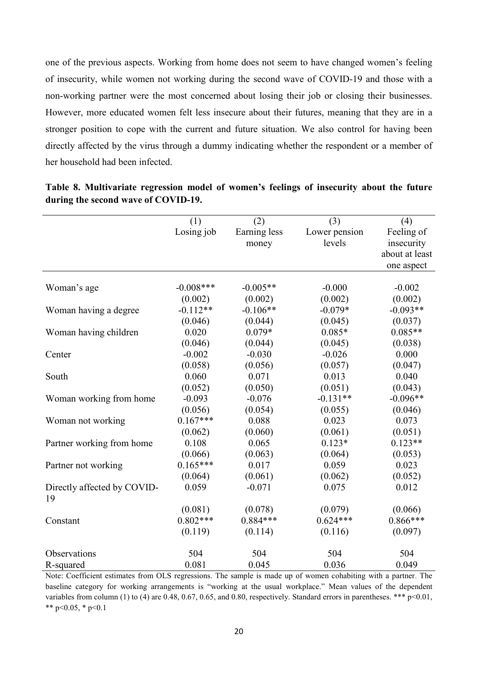one of the previous aspects. Working from home does not seem to have changed women's feeling of insecurity, while women not working during the second wave of COVID-19 and those with a non-working partner were the most concerned about losing their job or closing their businesses. However, more educated women felt less insecure about their futures, meaning that they are in a stronger position to cope with the current and future situation. We also control for having been directly affected by the virus through a dummy indicating whether the respondent or a member of her household had been infected.

|                             | (1)          | (2)          | (3)           | (4)            |
|-----------------------------|--------------|--------------|---------------|----------------|
|                             | Losing job   | Earning less | Lower pension | Feeling of     |
|                             |              | money        | levels        | insecurity     |
|                             |              |              |               | about at least |
|                             |              |              |               | one aspect     |
|                             |              |              |               |                |
| Woman's age                 | $-0.008$ *** | $-0.005**$   | $-0.000$      | $-0.002$       |
|                             | (0.002)      | (0.002)      | (0.002)       | (0.002)        |
| Woman having a degree       | $-0.112**$   | $-0.106**$   | $-0.079*$     | $-0.093**$     |
|                             | (0.046)      | (0.044)      | (0.045)       | (0.037)        |
| Woman having children       | 0.020        | $0.079*$     | $0.085*$      | $0.085**$      |
|                             | (0.046)      | (0.044)      | (0.045)       | (0.038)        |
| Center                      | $-0.002$     | $-0.030$     | $-0.026$      | 0.000          |
|                             | (0.058)      | (0.056)      | (0.057)       | (0.047)        |
| South                       | 0.060        | 0.071        | 0.013         | 0.040          |
|                             | (0.052)      | (0.050)      | (0.051)       | (0.043)        |
| Woman working from home     | $-0.093$     | $-0.076$     | $-0.131**$    | $-0.096**$     |
|                             | (0.056)      | (0.054)      | (0.055)       | (0.046)        |
| Woman not working           | $0.167***$   | 0.088        | 0.023         | 0.073          |
|                             | (0.062)      | (0.060)      | (0.061)       | (0.051)        |
| Partner working from home   | 0.108        | 0.065        | $0.123*$      | $0.123**$      |
|                             | (0.066)      | (0.063)      | (0.064)       | (0.053)        |
| Partner not working         | $0.165***$   | 0.017        | 0.059         | 0.023          |
|                             | (0.064)      | (0.061)      | (0.062)       | (0.052)        |
| Directly affected by COVID- | 0.059        | $-0.071$     | 0.075         | 0.012          |
| 19                          |              |              |               |                |
|                             | (0.081)      | (0.078)      | (0.079)       | (0.066)        |
| Constant                    | $0.802***$   | $0.884***$   | $0.624***$    | $0.866***$     |
|                             | (0.119)      | (0.114)      | (0.116)       | (0.097)        |
|                             |              |              |               |                |
| Observations                | 504          | 504          | 504           | 504            |
| R-squared                   | 0.081        | 0.045        | 0.036         | 0.049          |

**Table 8. Multivariate regression model of women's feelings of insecurity about the future during the second wave of COVID-19.**

Note: Coefficient estimates from OLS regressions. The sample is made up of women cohabiting with a partner. The baseline category for working arrangements is "working at the usual workplace." Mean values of the dependent variables from column (1) to (4) are 0.48, 0.67, 0.65, and 0.80, respectively. Standard errors in parentheses. \*\*\*  $p<0.01$ , \*\* p<0.05,  $*$  p<0.1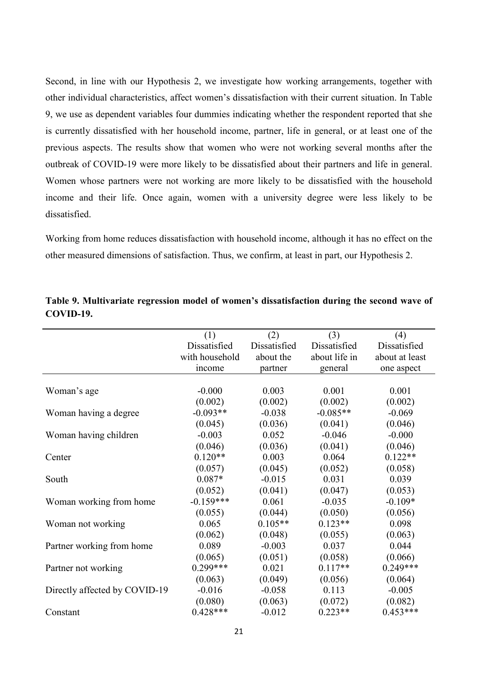Second, in line with our Hypothesis 2, we investigate how working arrangements, together with other individual characteristics, affect women's dissatisfaction with their current situation. In Table 9, we use as dependent variables four dummies indicating whether the respondent reported that she is currently dissatisfied with her household income, partner, life in general, or at least one of the previous aspects. The results show that women who were not working several months after the outbreak of COVID-19 were more likely to be dissatisfied about their partners and life in general. Women whose partners were not working are more likely to be dissatisfied with the household income and their life. Once again, women with a university degree were less likely to be dissatisfied.

Working from home reduces dissatisfaction with household income, although it has no effect on the other measured dimensions of satisfaction. Thus, we confirm, at least in part, our Hypothesis 2.

|                               | (1)            | (2)          | (3)           | (4)            |
|-------------------------------|----------------|--------------|---------------|----------------|
|                               | Dissatisfied   | Dissatisfied | Dissatisfied  | Dissatisfied   |
|                               | with household | about the    | about life in | about at least |
|                               | income         | partner      | general       | one aspect     |
|                               |                |              |               |                |
| Woman's age                   | $-0.000$       | 0.003        | 0.001         | 0.001          |
|                               | (0.002)        | (0.002)      | (0.002)       | (0.002)        |
| Woman having a degree         | $-0.093**$     | $-0.038$     | $-0.085**$    | $-0.069$       |
|                               | (0.045)        | (0.036)      | (0.041)       | (0.046)        |
| Woman having children         | $-0.003$       | 0.052        | $-0.046$      | $-0.000$       |
|                               | (0.046)        | (0.036)      | (0.041)       | (0.046)        |
| Center                        | $0.120**$      | 0.003        | 0.064         | $0.122**$      |
|                               | (0.057)        | (0.045)      | (0.052)       | (0.058)        |
| South                         | $0.087*$       | $-0.015$     | 0.031         | 0.039          |
|                               | (0.052)        | (0.041)      | (0.047)       | (0.053)        |
| Woman working from home       | $-0.159***$    | 0.061        | $-0.035$      | $-0.109*$      |
|                               | (0.055)        | (0.044)      | (0.050)       | (0.056)        |
| Woman not working             | 0.065          | $0.105**$    | $0.123**$     | 0.098          |
|                               | (0.062)        | (0.048)      | (0.055)       | (0.063)        |
| Partner working from home     | 0.089          | $-0.003$     | 0.037         | 0.044          |
|                               | (0.065)        | (0.051)      | (0.058)       | (0.066)        |
| Partner not working           | $0.299***$     | 0.021        | $0.117**$     | $0.249***$     |
|                               | (0.063)        | (0.049)      | (0.056)       | (0.064)        |
| Directly affected by COVID-19 | $-0.016$       | $-0.058$     | 0.113         | $-0.005$       |
|                               | (0.080)        | (0.063)      | (0.072)       | (0.082)        |
| Constant                      | $0.428***$     | $-0.012$     | $0.223**$     | $0.453***$     |

**Table 9. Multivariate regression model of women's dissatisfaction during the second wave of COVID-19.**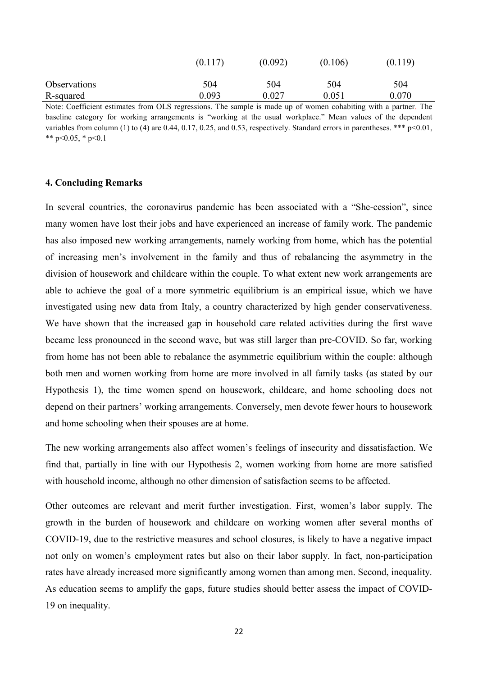|                                                                                                                 | (0.117) | (0.092) | (0.106) | (0.119) |
|-----------------------------------------------------------------------------------------------------------------|---------|---------|---------|---------|
| <b>Observations</b>                                                                                             | 504     | 504     | 504     | 504     |
| R-squared                                                                                                       | 0.093   | 0.027   | 0.051   | 0 070   |
| Note: Coefficient estimates from OLS regressions. The sample is made up of women cohabiting with a partner. The |         |         |         |         |

baseline category for working arrangements is "working at the usual workplace." Mean values of the dependent variables from column (1) to (4) are 0.44, 0.17, 0.25, and 0.53, respectively. Standard errors in parentheses. \*\*\*  $p<0.01$ , \*\* p<0.05,  $*$  p<0.1

#### **4. Concluding Remarks**

In several countries, the coronavirus pandemic has been associated with a "She-cession", since many women have lost their jobs and have experienced an increase of family work. The pandemic has also imposed new working arrangements, namely working from home, which has the potential of increasing men's involvement in the family and thus of rebalancing the asymmetry in the division of housework and childcare within the couple. To what extent new work arrangements are able to achieve the goal of a more symmetric equilibrium is an empirical issue, which we have investigated using new data from Italy, a country characterized by high gender conservativeness. We have shown that the increased gap in household care related activities during the first wave became less pronounced in the second wave, but was still larger than pre-COVID. So far, working from home has not been able to rebalance the asymmetric equilibrium within the couple: although both men and women working from home are more involved in all family tasks (as stated by our Hypothesis 1), the time women spend on housework, childcare, and home schooling does not depend on their partners' working arrangements. Conversely, men devote fewer hours to housework and home schooling when their spouses are at home.

The new working arrangements also affect women's feelings of insecurity and dissatisfaction. We find that, partially in line with our Hypothesis 2, women working from home are more satisfied with household income, although no other dimension of satisfaction seems to be affected.

Other outcomes are relevant and merit further investigation. First, women's labor supply. The growth in the burden of housework and childcare on working women after several months of COVID-19, due to the restrictive measures and school closures, is likely to have a negative impact not only on women's employment rates but also on their labor supply. In fact, non-participation rates have already increased more significantly among women than among men. Second, inequality. As education seems to amplify the gaps, future studies should better assess the impact of COVID-19 on inequality.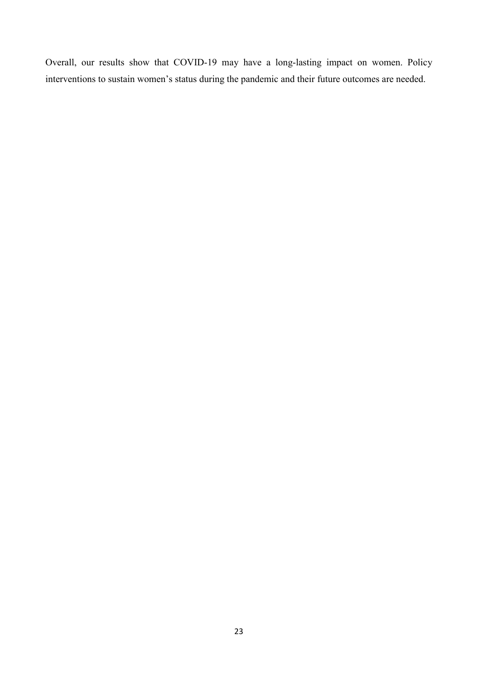Overall, our results show that COVID-19 may have a long-lasting impact on women. Policy interventions to sustain women's status during the pandemic and their future outcomes are needed.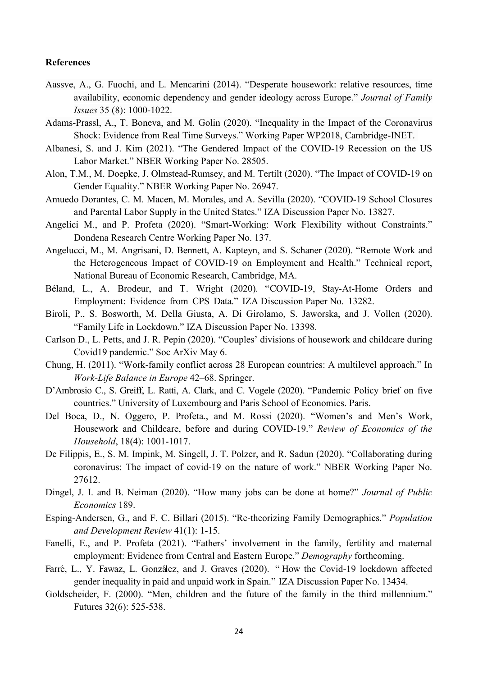#### **References**

- Aassve, A., G. Fuochi, and L. Mencarini (2014). "Desperate housework: relative resources, time availability, economic dependency and gender ideology across Europe." *Journal of Family Issues* 35 (8): 1000-1022.
- Adams-Prassl, A., T. Boneva, and M. Golin (2020). "Inequality in the Impact of the Coronavirus Shock: Evidence from Real Time Surveys." Working Paper WP2018, Cambridge-INET.
- Albanesi, S. and J. Kim (2021). "The Gendered Impact of the COVID-19 Recession on the US Labor Market." NBER Working Paper No. 28505.
- Alon, T.M., M. Doepke, J. Olmstead-Rumsey, and M. Tertilt (2020). "The Impact of COVID-19 on Gender Equality." NBER Working Paper No. 26947.
- Amuedo Dorantes, C. M. Macen, M. Morales, and A. Sevilla (2020). "COVID-19 School Closures and Parental Labor Supply in the United States." IZA Discussion Paper No. 13827.
- Angelici M., and P. Profeta (2020). "Smart-Working: Work Flexibility without Constraints." Dondena Research Centre Working Paper No. 137.
- Angelucci, M., M. Angrisani, D. Bennett, A. Kapteyn, and S. Schaner (2020). "Remote Work and the Heterogeneous Impact of COVID-19 on Employment and Health." Technical report, National Bureau of Economic Research, Cambridge, MA.
- Béland, L., A. Brodeur, and T. Wright (2020). "COVID-19, Stay-At-Home Orders and Employment: Evidence from CPS Data." IZA Discussion Paper No. 13282.
- Biroli, P., S. Bosworth, M. Della Giusta, A. Di Girolamo, S. Jaworska, and J. Vollen (2020). "Family Life in Lockdown." IZA Discussion Paper No. 13398.
- Carlson D., L. Petts, and J. R. Pepin (2020). "Couples' divisions of housework and childcare during Covid19 pandemic." Soc ArXiv May 6.
- Chung, H. (2011). "Work-family conflict across 28 European countries: A multilevel approach." In *Work-Life Balance in Europe* 42–68. Springer.
- D'Ambrosio C., S. Greiff, L. Ratti, A. Clark, and C. Vogele (2020). "Pandemic Policy brief on five countries." University of Luxembourg and Paris School of Economics. Paris.
- Del Boca, D., N. Oggero, P. Profeta., and M. Rossi (2020). "Women's and Men's Work, Housework and Childcare, before and during COVID-19." *Review of Economics of the Household*, 18(4): 1001-1017.
- De Filippis, E., S. M. Impink, M. Singell, J. T. Polzer, and R. Sadun (2020). "Collaborating during coronavirus: The impact of covid-19 on the nature of work." NBER Working Paper No. 27612.
- Dingel, J. I. and B. Neiman (2020). "How many jobs can be done at home?" *Journal of Public Economics* 189.
- Esping-Andersen, G., and F. C. Billari (2015). "Re-theorizing Family Demographics." *Population and Development Review* 41(1): 1-15.
- Fanelli, E., and P. Profeta (2021). "Fathers' involvement in the family, fertility and maternal employment: Evidence from Central and Eastern Europe." *Demography* forthcoming.
- Farré, L., Y. Fawaz, L. González, and J. Graves (2020). "How the Covid-19 lockdown affected gender inequality in paid and unpaid work in Spain." IZA Discussion Paper No. 13434.
- Goldscheider, F. (2000). "Men, children and the future of the family in the third millennium." Futures 32(6): 525-538.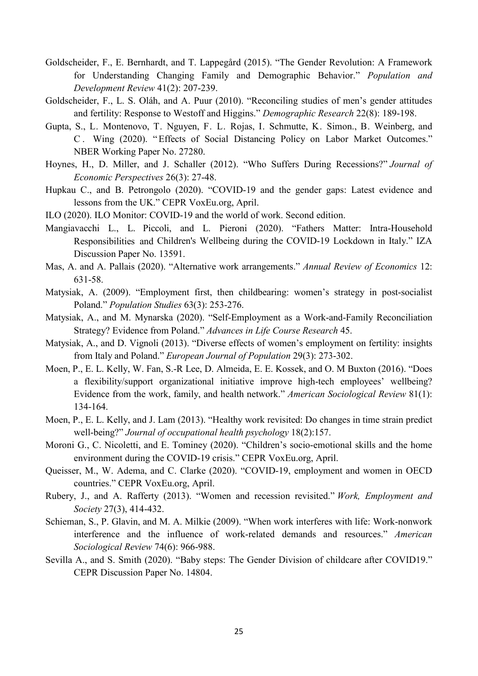- Goldscheider, F., E. Bernhardt, and T. Lappegård (2015). "The Gender Revolution: A Framework for Understanding Changing Family and Demographic Behavior." *Population and Development Review* 41(2): 207-239.
- Goldscheider, F., L. S. Oláh, and A. Puur (2010). "Reconciling studies of men's gender attitudes and fertility: Response to Westoff and Higgins." *Demographic Research* 22(8): 189-198.
- Gupta, S., L. Montenovo, T. Nguyen, F. L. Rojas, I. Schmutte, K. Simon., B. Weinberg, and C. Wing (2020). "Effects of Social Distancing Policy on Labor Market Outcomes." NBER Working Paper No. 27280.
- Hoynes, H., D. Miller, and J. Schaller (2012). ["Who Suffers During Recessions?"](http://dx.doi.org/10.1257/jep.26.3.27) *Journal of Economic Perspectives* 26(3): 27-48.
- Hupkau C., and B. Petrongolo (2020). "COVID-19 and the gender gaps: Latest evidence and lessons from the UK." CEPR VoxEu.org, April.
- ILO (2020). ILO Monitor: COVID-19 and the world of work. Second edition.
- Mangiavacchi L., L. Piccoli, and L. Pieroni (2020). "Fathers Matter: Intra-Household Responsibilities and Children's Wellbeing during the COVID-19 Lockdown in Italy." IZA Discussion Paper No. 13591.
- Mas, A. and A. Pallais (2020). "Alternative work arrangements." *Annual Review of Economics* 12: 631-58.
- Matysiak, A. (2009). "Employment first, then childbearing: women's strategy in post-socialist Poland." *Population Studies* 63(3): 253-276.
- Matysiak, A., and M. Mynarska (2020). "Self-Employment as a Work-and-Family Reconciliation Strategy? Evidence from Poland." *Advances in Life Course Research* 45.
- Matysiak, A., and D. Vignoli (2013). "Diverse effects of women's employment on fertility: insights from Italy and Poland." *European Journal of Population* 29(3): 273-302.
- Moen, P., E. L. Kelly, W. Fan, S.-R Lee, D. Almeida, E. E. Kossek, and O. M Buxton (2016). "Does a flexibility/support organizational initiative improve high-tech employees' wellbeing? Evidence from the work, family, and health network." *American Sociological Review* 81(1): 134-164.
- Moen, P., E. L. Kelly, and J. Lam (2013). "Healthy work revisited: Do changes in time strain predict well-being?" *Journal of occupational health psychology* 18(2):157.
- Moroni G., C. Nicoletti, and E. Tominey (2020). "Children's socio-emotional skills and the home environment during the COVID-19 crisis." CEPR VoxEu.org, April.
- Queisser, M., W. Adema, and C. Clarke (2020). "COVID-19, employment and women in OECD countries." CEPR VoxEu.org, April.
- Rubery, J., and A. Rafferty (2013). "Women and recession revisited." *Work, Employment and Society* 27(3), 414-432.
- Schieman, S., P. Glavin, and M. A. Milkie (2009). "When work interferes with life: Work-nonwork interference and the influence of work-related demands and resources." *American Sociological Review* 74(6): 966-988.
- Sevilla A., and S. Smith (2020). "Baby steps: The Gender Division of childcare after COVID19." CEPR Discussion Paper No. 14804.